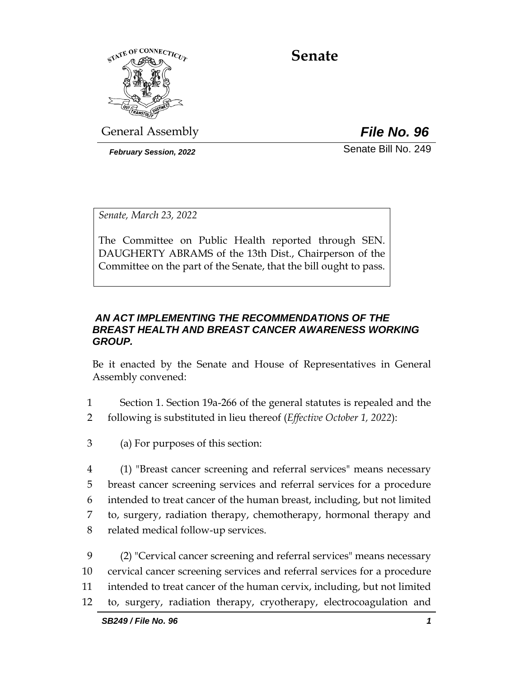

**Senate**

General Assembly *File No. 96*

*February Session, 2022* Senate Bill No. 249

*Senate, March 23, 2022*

The Committee on Public Health reported through SEN. DAUGHERTY ABRAMS of the 13th Dist., Chairperson of the Committee on the part of the Senate, that the bill ought to pass.

## *AN ACT IMPLEMENTING THE RECOMMENDATIONS OF THE BREAST HEALTH AND BREAST CANCER AWARENESS WORKING GROUP.*

Be it enacted by the Senate and House of Representatives in General Assembly convened:

- 1 Section 1. Section 19a-266 of the general statutes is repealed and the 2 following is substituted in lieu thereof (*Effective October 1, 2022*):
- 3 (a) For purposes of this section:
- 4 (1) "Breast cancer screening and referral services" means necessary 5 breast cancer screening services and referral services for a procedure 6 intended to treat cancer of the human breast, including, but not limited 7 to, surgery, radiation therapy, chemotherapy, hormonal therapy and 8 related medical follow-up services.
- 9 (2) "Cervical cancer screening and referral services" means necessary 10 cervical cancer screening services and referral services for a procedure 11 intended to treat cancer of the human cervix, including, but not limited 12 to, surgery, radiation therapy, cryotherapy, electrocoagulation and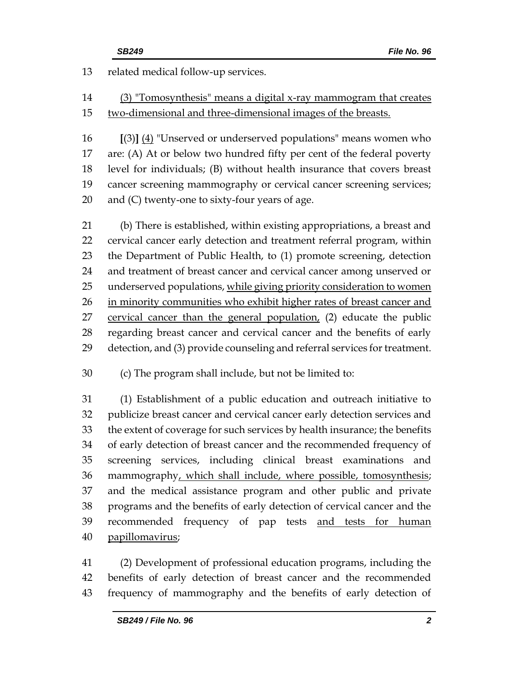related medical follow-up services. (3) "Tomosynthesis" means a digital x-ray mammogram that creates two-dimensional and three-dimensional images of the breasts. **[**(3)**]** (4) "Unserved or underserved populations" means women who are: (A) At or below two hundred fifty per cent of the federal poverty level for individuals; (B) without health insurance that covers breast cancer screening mammography or cervical cancer screening services; and (C) twenty-one to sixty-four years of age. (b) There is established, within existing appropriations, a breast and cervical cancer early detection and treatment referral program, within the Department of Public Health, to (1) promote screening, detection and treatment of breast cancer and cervical cancer among unserved or 25 underserved populations, while giving priority consideration to women 26 in minority communities who exhibit higher rates of breast cancer and 27 cervical cancer than the general population, (2) educate the public regarding breast cancer and cervical cancer and the benefits of early detection, and (3) provide counseling and referral services for treatment.

(c) The program shall include, but not be limited to:

 (1) Establishment of a public education and outreach initiative to publicize breast cancer and cervical cancer early detection services and the extent of coverage for such services by health insurance; the benefits of early detection of breast cancer and the recommended frequency of screening services, including clinical breast examinations and mammography, which shall include, where possible, tomosynthesis; and the medical assistance program and other public and private programs and the benefits of early detection of cervical cancer and the 39 recommended frequency of pap tests and tests for human papillomavirus;

 (2) Development of professional education programs, including the benefits of early detection of breast cancer and the recommended frequency of mammography and the benefits of early detection of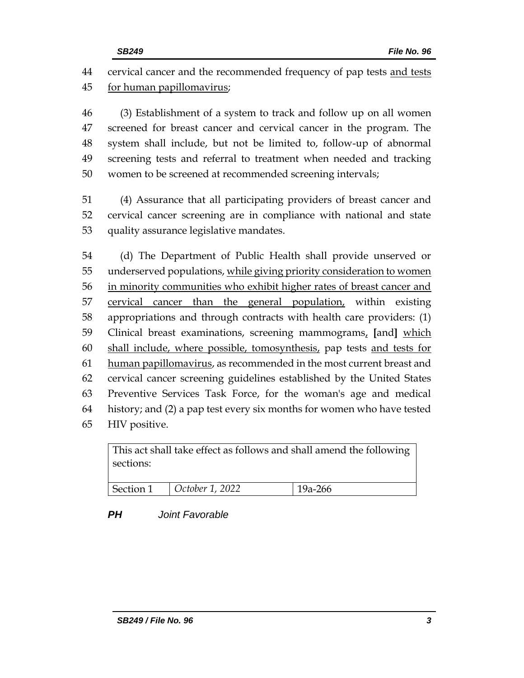cervical cancer and the recommended frequency of pap tests and tests for human papillomavirus;

 (3) Establishment of a system to track and follow up on all women screened for breast cancer and cervical cancer in the program. The system shall include, but not be limited to, follow-up of abnormal screening tests and referral to treatment when needed and tracking women to be screened at recommended screening intervals;

 (4) Assurance that all participating providers of breast cancer and cervical cancer screening are in compliance with national and state quality assurance legislative mandates.

 (d) The Department of Public Health shall provide unserved or 55 underserved populations, while giving priority consideration to women in minority communities who exhibit higher rates of breast cancer and 57 cervical cancer than the general population, within existing appropriations and through contracts with health care providers: (1) Clinical breast examinations, screening mammograms, **[**and**]** which shall include, where possible, tomosynthesis, pap tests and tests for human papillomavirus, as recommended in the most current breast and cervical cancer screening guidelines established by the United States Preventive Services Task Force, for the woman's age and medical history; and (2) a pap test every six months for women who have tested HIV positive.

This act shall take effect as follows and shall amend the following sections:

| Section 1 | October 1, 2022 | 0 <sub>2</sub> 266<br>72-700 |
|-----------|-----------------|------------------------------|
|           |                 |                              |

*PH Joint Favorable*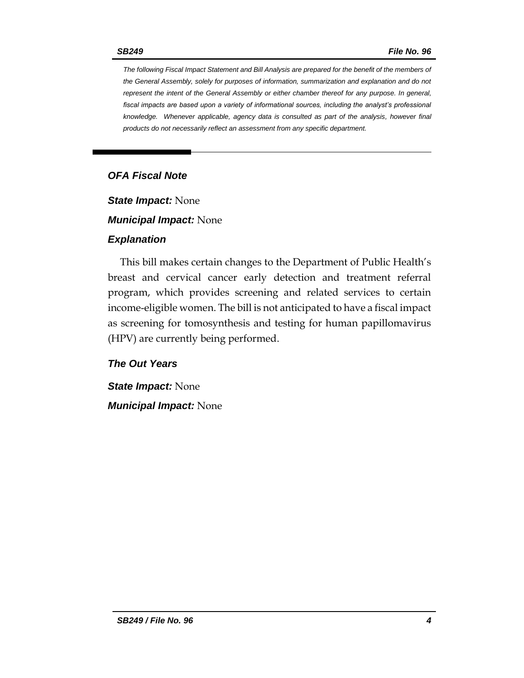*The following Fiscal Impact Statement and Bill Analysis are prepared for the benefit of the members of the General Assembly, solely for purposes of information, summarization and explanation and do not represent the intent of the General Assembly or either chamber thereof for any purpose. In general,*  fiscal impacts are based upon a variety of informational sources, including the analyst's professional *knowledge. Whenever applicable, agency data is consulted as part of the analysis, however final products do not necessarily reflect an assessment from any specific department.*

# *OFA Fiscal Note*

*State Impact:* None

*Municipal Impact:* None

#### *Explanation*

This bill makes certain changes to the Department of Public Health's breast and cervical cancer early detection and treatment referral program, which provides screening and related services to certain income-eligible women. The bill is not anticipated to have a fiscal impact as screening for tomosynthesis and testing for human papillomavirus (HPV) are currently being performed.

## *The Out Years*

*State Impact:* None *Municipal Impact:* None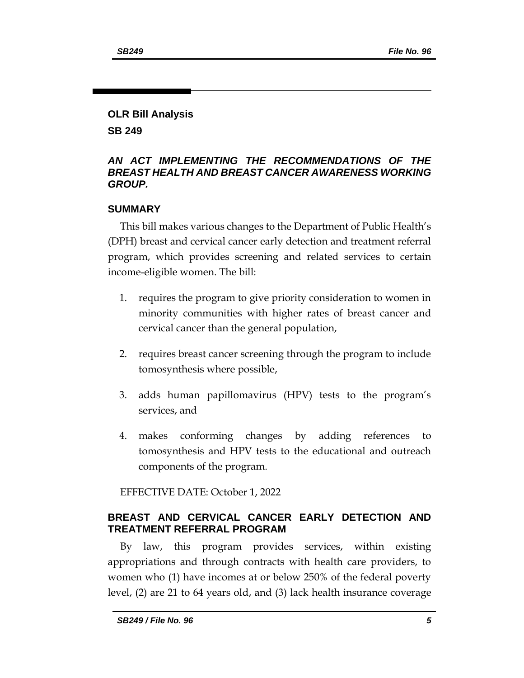#### **OLR Bill Analysis**

**SB 249**

## *AN ACT IMPLEMENTING THE RECOMMENDATIONS OF THE BREAST HEALTH AND BREAST CANCER AWARENESS WORKING GROUP.*

### **SUMMARY**

This bill makes various changes to the Department of Public Health's (DPH) breast and cervical cancer early detection and treatment referral program, which provides screening and related services to certain income-eligible women. The bill:

- 1. requires the program to give priority consideration to women in minority communities with higher rates of breast cancer and cervical cancer than the general population,
- 2. requires breast cancer screening through the program to include tomosynthesis where possible,
- 3. adds human papillomavirus (HPV) tests to the program's services, and
- 4. makes conforming changes by adding references to tomosynthesis and HPV tests to the educational and outreach components of the program.

EFFECTIVE DATE: October 1, 2022

# **BREAST AND CERVICAL CANCER EARLY DETECTION AND TREATMENT REFERRAL PROGRAM**

By law, this program provides services, within existing appropriations and through contracts with health care providers, to women who (1) have incomes at or below 250% of the federal poverty level, (2) are 21 to 64 years old, and (3) lack health insurance coverage